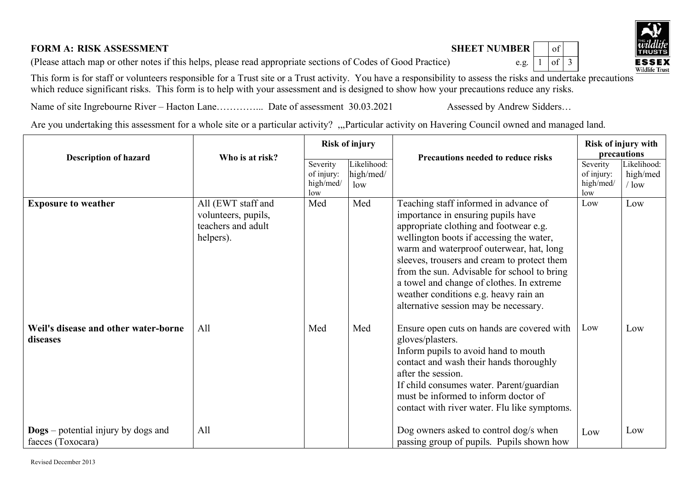## **FORM A: RISK ASSESSMENT**  $\begin{bmatrix} 0 & 0 \\ 0 & 1 \end{bmatrix}$

(Please attach map or other notes if this helps, please read appropriate sections of Codes of Good Practice) e.g.  $\lceil 1 \rceil$  of  $\lceil 3 \rceil$ 

This form is for staff or volunteers responsible for a Trust site or a Trust activity. You have a responsibility to assess the risks and undertake precautions which reduce significant risks. This form is to help with your assessment and is designed to show how your precautions reduce any risks.

Name of site Ingrebourne River – Hacton Lane…………... Date of assessment 30.03.2021 Assessed by Andrew Sidders…

Are you undertaking this assessment for a whole site or a particular activity? "Particular activity on Havering Council owned and managed land.

|                                                                 | Who is at risk?                                                              | <b>Risk of injury</b>                      |                                 |                                                                                                                                                                                                                                                                                                                                                                                                                                            | Risk of injury with<br>precautions         |                                    |
|-----------------------------------------------------------------|------------------------------------------------------------------------------|--------------------------------------------|---------------------------------|--------------------------------------------------------------------------------------------------------------------------------------------------------------------------------------------------------------------------------------------------------------------------------------------------------------------------------------------------------------------------------------------------------------------------------------------|--------------------------------------------|------------------------------------|
| <b>Description of hazard</b>                                    |                                                                              | Severity<br>of injury:<br>high/med/<br>low | Likelihood:<br>high/med/<br>low | <b>Precautions needed to reduce risks</b>                                                                                                                                                                                                                                                                                                                                                                                                  | Severity<br>of injury:<br>high/med/<br>low | Likelihood:<br>high/med<br>$/$ low |
| <b>Exposure to weather</b>                                      | All (EWT staff and<br>volunteers, pupils,<br>teachers and adult<br>helpers). | Med                                        | Med                             | Teaching staff informed in advance of<br>importance in ensuring pupils have<br>appropriate clothing and footwear e.g.<br>wellington boots if accessing the water,<br>warm and waterproof outerwear, hat, long<br>sleeves, trousers and cream to protect them<br>from the sun. Advisable for school to bring<br>a towel and change of clothes. In extreme<br>weather conditions e.g. heavy rain an<br>alternative session may be necessary. | Low                                        | Low                                |
| Weil's disease and other water-borne<br>diseases                | All                                                                          | Med                                        | Med                             | Ensure open cuts on hands are covered with<br>gloves/plasters.<br>Inform pupils to avoid hand to mouth<br>contact and wash their hands thoroughly<br>after the session.<br>If child consumes water. Parent/guardian<br>must be informed to inform doctor of<br>contact with river water. Flu like symptoms.                                                                                                                                | Low                                        | Low                                |
| $\bf{Dogs}$ – potential injury by dogs and<br>faeces (Toxocara) | All                                                                          |                                            |                                 | Dog owners asked to control dog/s when<br>passing group of pupils. Pupils shown how                                                                                                                                                                                                                                                                                                                                                        | Low                                        | Low                                |



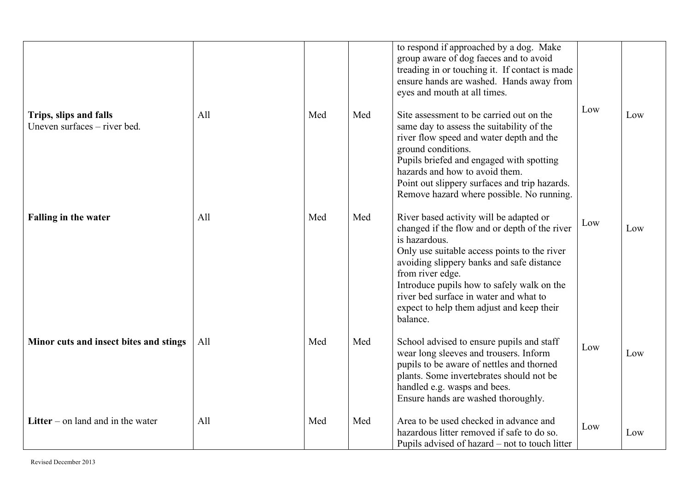|                                                        |     |     |     | to respond if approached by a dog. Make<br>group aware of dog faeces and to avoid<br>treading in or touching it. If contact is made<br>ensure hands are washed. Hands away from<br>eyes and mouth at all times.                                                                                                                                                             |     |     |
|--------------------------------------------------------|-----|-----|-----|-----------------------------------------------------------------------------------------------------------------------------------------------------------------------------------------------------------------------------------------------------------------------------------------------------------------------------------------------------------------------------|-----|-----|
| Trips, slips and falls<br>Uneven surfaces – river bed. | All | Med | Med | Site assessment to be carried out on the<br>same day to assess the suitability of the<br>river flow speed and water depth and the<br>ground conditions.<br>Pupils briefed and engaged with spotting<br>hazards and how to avoid them.<br>Point out slippery surfaces and trip hazards.<br>Remove hazard where possible. No running.                                         | Low | Low |
| <b>Falling in the water</b>                            | All | Med | Med | River based activity will be adapted or<br>changed if the flow and or depth of the river<br>is hazardous.<br>Only use suitable access points to the river<br>avoiding slippery banks and safe distance<br>from river edge.<br>Introduce pupils how to safely walk on the<br>river bed surface in water and what to<br>expect to help them adjust and keep their<br>balance. | Low | Low |
| Minor cuts and insect bites and stings                 | All | Med | Med | School advised to ensure pupils and staff<br>wear long sleeves and trousers. Inform<br>pupils to be aware of nettles and thorned<br>plants. Some invertebrates should not be<br>handled e.g. wasps and bees.<br>Ensure hands are washed thoroughly.                                                                                                                         | Low | Low |
| Litter – on land and in the water                      | All | Med | Med | Area to be used checked in advance and<br>hazardous litter removed if safe to do so.<br>Pupils advised of hazard – not to touch litter                                                                                                                                                                                                                                      | Low | Low |